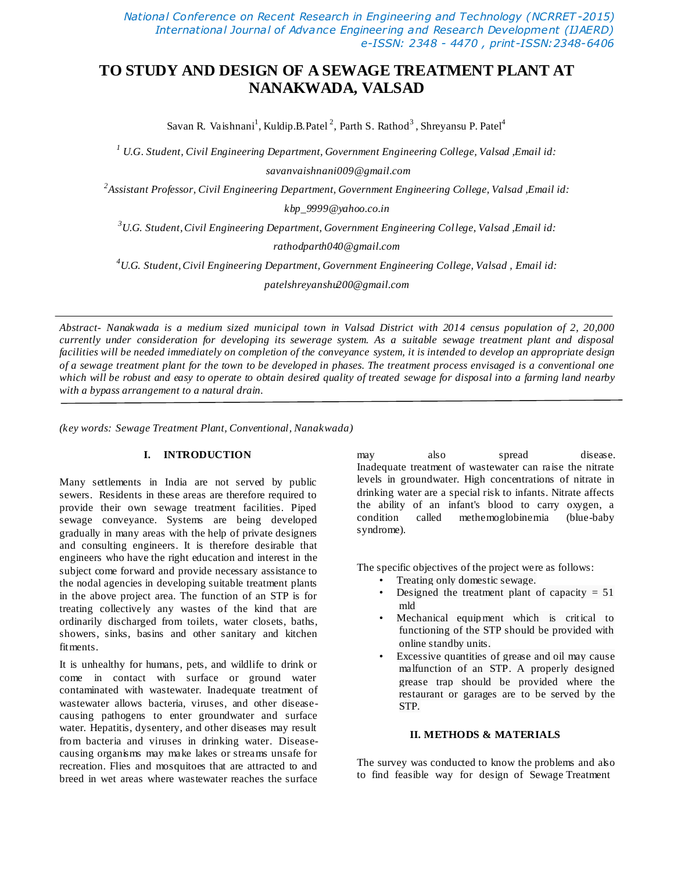*National Conference on Recent Research in Engineering and Technology (NCRRET -2015) International Journal of Advance Engineering and Research Development (IJAERD) e-ISSN: 2348 - 4470 , print-ISSN:2348-6406*

# **TO STUDY AND DESIGN OF A SEWAGE TREATMENT PLANT AT NANAKWADA, VALSAD**

Savan R. Vaishnani $^1$ , Kuldip.B.Patel  $^2$ , Parth S. Rathod  $^3$ , Shreyansu P. Patel $^4$ 

*<sup>1</sup> U.G. Student, Civil Engineering Department, Government Engineering College, Valsad ,Email id: savanvaishnani009@gmail.com*

*2 Assistant Professor, Civil Engineering Department, Government Engineering College, Valsad ,Email id:* 

*kbp\_9999@yahoo.co.in*

*<sup>3</sup>U.G. Student,Civil Engineering Department, Government Engineering College, Valsad ,Email id:* 

*rathodparth040@gmail.com*

*<sup>4</sup>U.G. Student,Civil Engineering Department, Government Engineering College, Valsad , Email id:*

*patelshreyanshu200@gmail.com*

*Abstract- Nanakwada is a medium sized municipal town in Valsad District with 2014 census population of 2, 20,000 currently under consideration for developing its sewerage system. As a suitable sewage treatment plant and disposal facilities will be needed immediately on completion of the conveyance system, it is intended to develop an appropriate design of a sewage treatment plant for the town to be developed in phases. The treatment process envisaged is a conventional one which will be robust and easy to operate to obtain desired quality of treated sewage for disposal into a farming land nearby with a bypass arrangement to a natural drain.*

*(key words: Sewage Treatment Plant, Conventional, Nanakwada )*

# **I. INTRODUCTION**

Many settlements in India are not served by public sewers. Residents in these areas are therefore required to provide their own sewage treatment facilities. Piped sewage conveyance. Systems are being developed gradually in many areas with the help of private designers and consulting engineers. It is therefore desirable that engineers who have the right education and interest in the subject come forward and provide necessary assistance to the nodal agencies in developing suitable treatment plants in the above project area. The function of an STP is for treating collectively any wastes of the kind that are ordinarily discharged from toilets, water closets, baths, showers, sinks, basins and other sanitary and kitchen fitments.

It is unhealthy for humans, pets, and wildlife to drink or come in contact with surface or ground water contaminated with wastewater. Inadequate treatment of wastewater allows bacteria, viruses, and other diseasecausing pathogens to enter groundwater and surface water. Hepatitis, dysentery, and other diseases may result from bacteria and viruses in drinking water. Diseasecausing organisms may make lakes or streams unsafe for recreation. Flies and mosquitoes that are attracted to and breed in wet areas where wastewater reaches the surface

may also spread disease. Inadequate treatment of wastewater can raise the nitrate levels in groundwater. High concentrations of nitrate in drinking water are a special risk to infants. Nitrate affects the ability of an infant's blood to carry oxygen, a condition called methemoglobinemia (blue-baby syndrome).

The specific objectives of the project were as follows:

- Treating only domestic sewage.
- Designed the treatment plant of capacity  $= 51$ mld
- Mechanical equipment which is critical to functioning of the STP should be provided with online standby units.
- Excessive quantities of grease and oil may cause malfunction of an STP. A properly designed grease trap should be provided where the restaurant or garages are to be served by the STP.

### **II. METHODS & MATERIALS**

The survey was conducted to know the problems and also to find feasible way for design of Sewage Treatment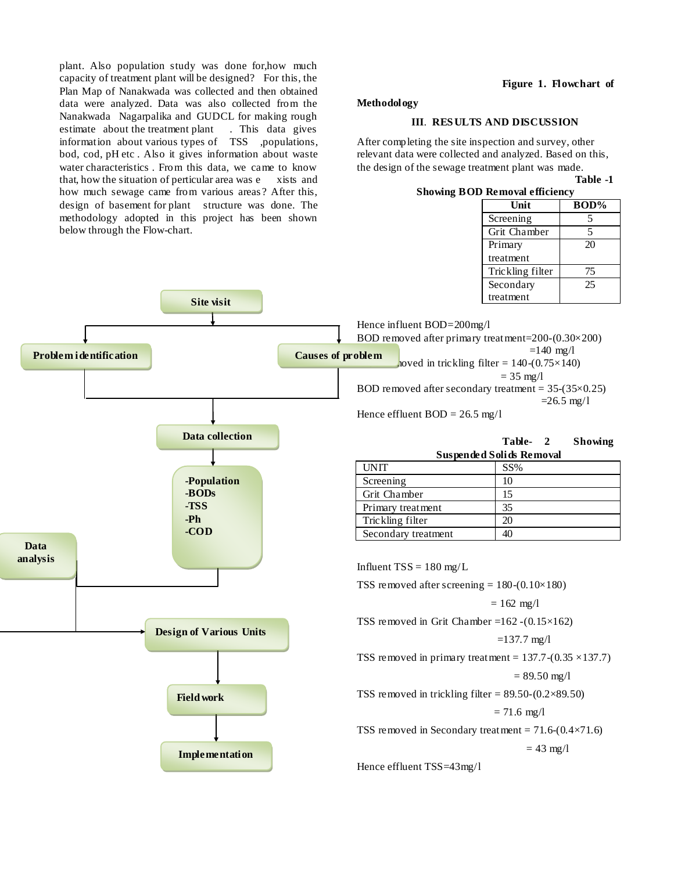plant. Also population study was done for,how much capacity of treatment plant will be designed? For this, the Plan Map of Nanakwada was collected and then obtained data were analyzed. Data was also collected from the Nanakwada Nagarpalika and GUDCL for making rough estimate about the treatment plant . This data gives information about various types of TSS ,populations, bod, cod, pH etc . Also it gives information about waste water characteristics . From this data, we came to know that, how the situation of perticular area was e xists and how much sewage came from various areas ? After this, design of basement for plant structure was done. The methodology adopted in this project has been shown below through the Flow-chart.

#### **Figure 1. Flowchart of**

#### **Methodology**

# **III**. **RES ULTS AND DISCUSSION**

After completing the site inspection and survey, other relevant data were collected and analyzed. Based on this, the design of the sewage treatment plant was made. **Table -1** 

#### **Showing BOD Removal efficiency**

| Unit             | BOD% |
|------------------|------|
| Screening        | 5    |
| Grit Chamber     | 5    |
| Primary          | 20   |
| treatment        |      |
| Trickling filter | 75   |
| Secondary        | 25   |
| treatment        |      |

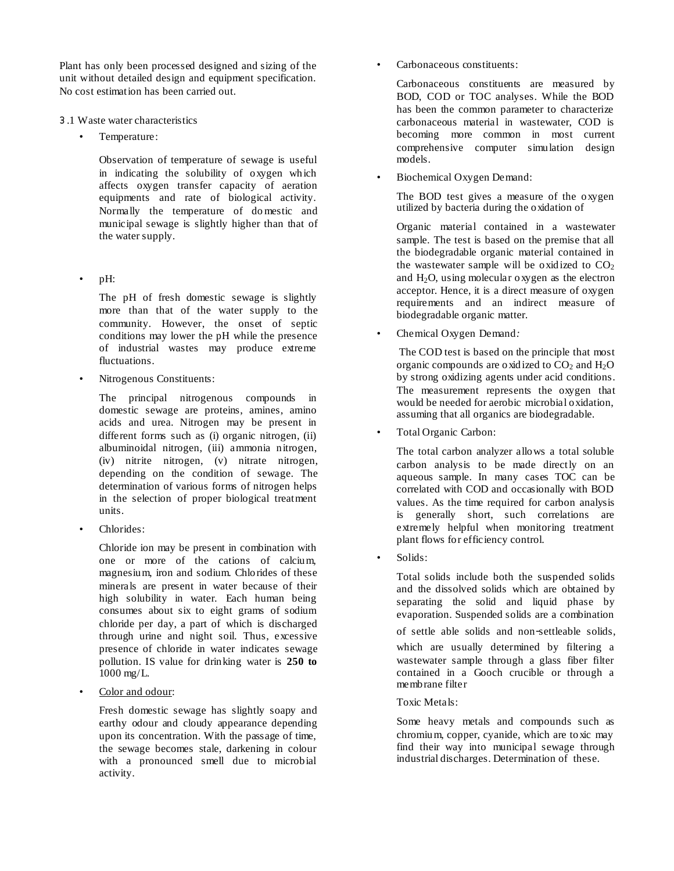Plant has only been processed designed and sizing of the unit without detailed design and equipment specification. No cost estimation has been carried out.

- ૩.1 Waste water characteristics
	- Temperature:

Observation of temperature of sewage is useful in indicating the solubility of oxygen which affects oxygen transfer capacity of aeration equipments and rate of biological activity. Normally the temperature of do mestic and municipal sewage is slightly higher than that of the water supply.

• pH:

The pH of fresh domestic sewage is slightly more than that of the water supply to the community. However, the onset of septic conditions may lower the pH while the presence of industrial wastes may produce extreme fluctuations.

• Nitrogenous Constituents:

The principal nitrogenous compounds in domestic sewage are proteins, amines, amino acids and urea. Nitrogen may be present in different forms such as (i) organic nitrogen, (ii) albuminoidal nitrogen, (iii) ammonia nitrogen, (iv) nitrite nitrogen, (v) nitrate nitrogen, depending on the condition of sewage. The determination of various forms of nitrogen helps in the selection of proper biological treatment units.

Chlorides:

Chloride ion may be present in combination with one or more of the cations of calcium, magnesium, iron and sodium. Chlorides of these minerals are present in water because of their high solubility in water. Each human being consumes about six to eight grams of sodium chloride per day, a part of which is discharged through urine and night soil. Thus, excessive presence of chloride in water indicates sewage pollution. IS value for drinking water is **250 to**  1000 mg/L.

Color and odour:

Fresh domestic sewage has slightly soapy and earthy odour and cloudy appearance depending upon its concentration. With the passage of time, the sewage becomes stale, darkening in colour with a pronounced smell due to microbial activity.

• Carbonaceous constituents:

Carbonaceous constituents are measured by BOD, COD or TOC analyses. While the BOD has been the common parameter to characterize carbonaceous material in wastewater, COD is becoming more common in most current comprehensive computer simulation design models.

• Biochemical Oxygen Demand:

The BOD test gives a measure of the oxygen utilized by bacteria during the oxidation of

Organic material contained in a wastewater sample. The test is based on the premise that all the biodegradable organic material contained in the wastewater sample will be oxidized to  $CO<sub>2</sub>$ and  $H_2O$ , using molecular oxygen as the electron acceptor. Hence, it is a direct measure of oxygen requirements and an indirect measure of biodegradable organic matter.

• Chemical Oxygen Demand*:*

The COD test is based on the principle that most organic compounds are oxidized to  $CO<sub>2</sub>$  and  $H<sub>2</sub>O$ by strong oxidizing agents under acid conditions. The measurement represents the oxygen that would be needed for aerobic microbial oxidation, assuming that all organics are biodegradable.

• Total Organic Carbon:

The total carbon analyzer allows a total soluble carbon analysis to be made directly on an aqueous sample. In many cases TOC can be correlated with COD and occasionally with BOD values. As the time required for carbon analysis is generally short, such correlations are extremely helpful when monitoring treatment plant flows for efficiency control.

Solids:

Total solids include both the suspended solids and the dissolved solids which are obtained by separating the solid and liquid phase by evaporation. Suspended solids are a combination of settle able solids and non-settleable solids, which are usually determined by filtering a wastewater sample through a glass fiber filter contained in a Gooch crucible or through a membrane filter

Toxic Metals:

Some heavy metals and compounds such as chromium, copper, cyanide, which are toxic may find their way into municipal sewage through industrial discharges. Determination of these.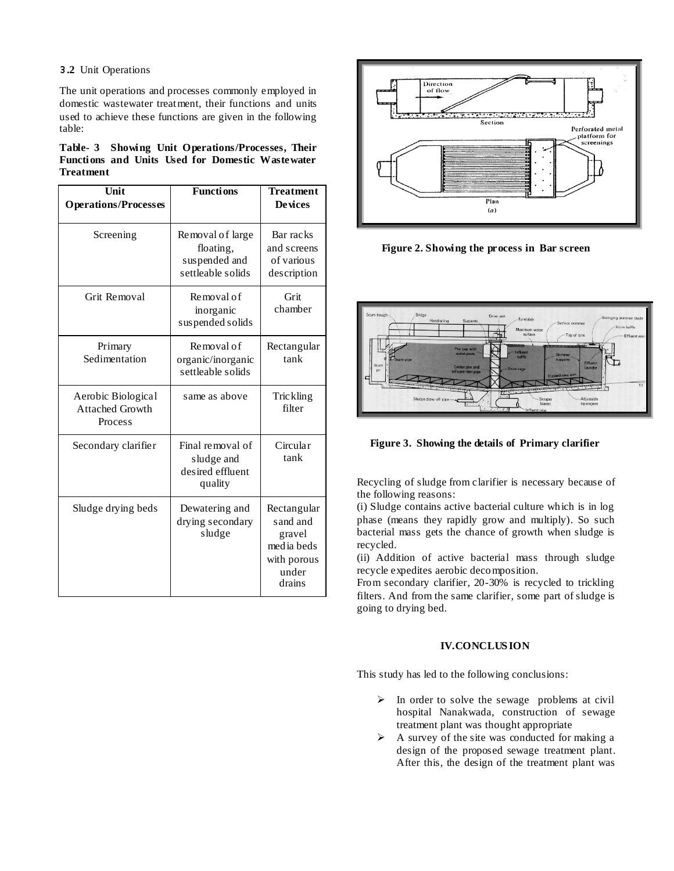## **૩.2** Unit Operations

The unit operations and processes commonly employed in domestic wastewater treatment, their functions and units used to achieve these functions are given in the following table:

| Table- 3 Showing Unit Operations/Processes, Their |  |  |  |  |
|---------------------------------------------------|--|--|--|--|
| Functions and Units Used for Domestic Wastewater  |  |  |  |  |
| <b>Treatment</b>                                  |  |  |  |  |

| Unit<br><b>Operations/Processes</b>                     | <b>Functions</b>                                                    | <b>Treatment</b><br><b>Devices</b>                                                |  |
|---------------------------------------------------------|---------------------------------------------------------------------|-----------------------------------------------------------------------------------|--|
| Screening                                               | Removal of large<br>floating,<br>suspended and<br>settleable solids | Bar racks<br>and screens<br>of various<br>description                             |  |
| Grit Removal                                            | Removal of<br>inorganic<br>suspended solids                         | Grit<br>chamber                                                                   |  |
| Primary<br>Sedimentation                                | Removal of<br>organic/inorganic<br>settleable solids                | Rectangular<br>tank                                                               |  |
| Aerobic Biological<br><b>Attached Growth</b><br>Process | same as above                                                       | <b>Trickling</b><br>filter                                                        |  |
| Secondary clarifier                                     | Final removal of<br>sludge and<br>desired effluent<br>quality       | Circular<br>tank                                                                  |  |
| Sludge drying beds                                      | Dewatering and<br>drying secondary<br>sludge                        | Rectangular<br>sand and<br>gravel<br>media beds<br>with porous<br>under<br>drains |  |



**Figure 2. Showing the process in Bar screen**



**Figure 3. Showing the details of Primary clarifier**

Recycling of sludge from clarifier is necessary because of the following reasons:

(i) Sludge contains active bacterial culture which is in log phase (means they rapidly grow and multiply). So such bacterial mass gets the chance of growth when sludge is recycled.

(ii) Addition of active bacterial mass through sludge recycle expedites aerobic decomposition.

From secondary clarifier, 20-30% is recycled to trickling filters. And from the same clarifier, some part of sludge is going to drying bed.

# **IV.CONCLUS ION**

This study has led to the following conclusions:

- $\triangleright$  In order to solve the sewage problems at civil hospital Nanakwada, construction of sewage treatment plant was thought appropriate
- $\triangleright$  A survey of the site was conducted for making a design of the proposed sewage treatment plant. After this, the design of the treatment plant was